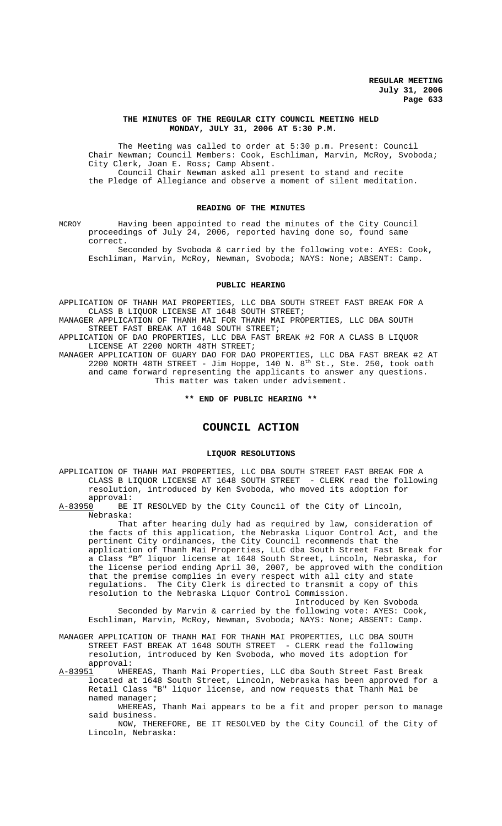#### **THE MINUTES OF THE REGULAR CITY COUNCIL MEETING HELD MONDAY, JULY 31, 2006 AT 5:30 P.M.**

The Meeting was called to order at 5:30 p.m. Present: Council Chair Newman; Council Members: Cook, Eschliman, Marvin, McRoy, Svoboda; City Clerk, Joan E. Ross; Camp Absent. Council Chair Newman asked all present to stand and recite the Pledge of Allegiance and observe a moment of silent meditation.

### **READING OF THE MINUTES**

MCROY Having been appointed to read the minutes of the City Council proceedings of July 24, 2006, reported having done so, found same correct.

Seconded by Svoboda & carried by the following vote: AYES: Cook, Eschliman, Marvin, McRoy, Newman, Svoboda; NAYS: None; ABSENT: Camp.

#### **PUBLIC HEARING**

APPLICATION OF THANH MAI PROPERTIES, LLC DBA SOUTH STREET FAST BREAK FOR A CLASS B LIQUOR LICENSE AT 1648 SOUTH STREET;

MANAGER APPLICATION OF THANH MAI FOR THANH MAI PROPERTIES, LLC DBA SOUTH STREET FAST BREAK AT 1648 SOUTH STREET;

APPLICATION OF DAO PROPERTIES, LLC DBA FAST BREAK #2 FOR A CLASS B LIQUOR LICENSE AT 2200 NORTH 48TH STREET;

MANAGER APPLICATION OF GUARY DAO FOR DAO PROPERTIES, LLC DBA FAST BREAK #2 AT 2200 NORTH 48TH STREET - Jim Hoppe, 140 N.  $8<sup>th</sup>$  St., Ste. 250, took oath and came forward representing the applicants to answer any questions. This matter was taken under advisement.

**\*\* END OF PUBLIC HEARING \*\***

# **COUNCIL ACTION**

#### **LIQUOR RESOLUTIONS**

APPLICATION OF THANH MAI PROPERTIES, LLC DBA SOUTH STREET FAST BREAK FOR A CLASS B LIQUOR LICENSE AT 1648 SOUTH STREET - CLERK read the following resolution, introduced by Ken Svoboda, who moved its adoption for approval:<br>A-83950 BE

BE IT RESOLVED by the City Council of the City of Lincoln, Nebraska:

That after hearing duly had as required by law, consideration of the facts of this application, the Nebraska Liquor Control Act, and the pertinent City ordinances, the City Council recommends that the application of Thanh Mai Properties, LLC dba South Street Fast Break for a Class "B" liquor license at 1648 South Street, Lincoln, Nebraska, for the license period ending April 30, 2007, be approved with the condition that the premise complies in every respect with all city and state regulations. The City Clerk is directed to transmit a copy of this resolution to the Nebraska Liquor Control Commission.

Introduced by Ken Svoboda Seconded by Marvin & carried by the following vote: AYES: Cook, Eschliman, Marvin, McRoy, Newman, Svoboda; NAYS: None; ABSENT: Camp.

MANAGER APPLICATION OF THANH MAI FOR THANH MAI PROPERTIES, LLC DBA SOUTH STREET FAST BREAK AT 1648 SOUTH STREET - CLERK read the following resolution, introduced by Ken Svoboda, who moved its adoption for

approval:<br>A-83951 WHE A-83951 WHEREAS, Thanh Mai Properties, LLC dba South Street Fast Break located at 1648 South Street, Lincoln, Nebraska has been approved for a Retail Class "B" liquor license, and now requests that Thanh Mai be named manager;

WHEREAS, Thanh Mai appears to be a fit and proper person to manage said business.

NOW, THEREFORE, BE IT RESOLVED by the City Council of the City of Lincoln, Nebraska: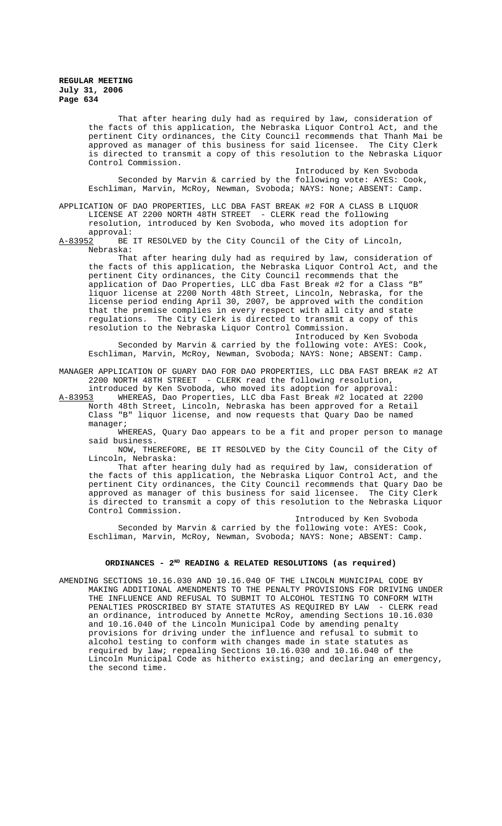That after hearing duly had as required by law, consideration of the facts of this application, the Nebraska Liquor Control Act, and the pertinent City ordinances, the City Council recommends that Thanh Mai be approved as manager of this business for said licensee. The City Clerk is directed to transmit a copy of this resolution to the Nebraska Liquor Control Commission.

Introduced by Ken Svoboda Seconded by Marvin & carried by the following vote: AYES: Cook, Eschliman, Marvin, McRoy, Newman, Svoboda; NAYS: None; ABSENT: Camp.

APPLICATION OF DAO PROPERTIES, LLC DBA FAST BREAK #2 FOR A CLASS B LIQUOR LICENSE AT 2200 NORTH 48TH STREET - CLERK read the following resolution, introduced by Ken Svoboda, who moved its adoption for

approval:<br><u>A-83952</u> BE BE IT RESOLVED by the City Council of the City of Lincoln, Nebraska:

That after hearing duly had as required by law, consideration of the facts of this application, the Nebraska Liquor Control Act, and the pertinent City ordinances, the City Council recommends that the application of Dao Properties, LLC dba Fast Break #2 for a Class "B" liquor license at 2200 North 48th Street, Lincoln, Nebraska, for the license period ending April 30, 2007, be approved with the condition that the premise complies in every respect with all city and state regulations. The City Clerk is directed to transmit a copy of this resolution to the Nebraska Liquor Control Commission.

Introduced by Ken Svoboda Seconded by Marvin & carried by the following vote: AYES: Cook, Eschliman, Marvin, McRoy, Newman, Svoboda; NAYS: None; ABSENT: Camp.

MANAGER APPLICATION OF GUARY DAO FOR DAO PROPERTIES, LLC DBA FAST BREAK #2 AT 2200 NORTH 48TH STREET - CLERK read the following resolution,

introduced by Ken Svoboda, who moved its adoption for approval:<br>A-83953 WHEREAS, Dao Properties, LLC dba Fast Break #2 located at WHEREAS, Dao Properties, LLC dba Fast Break #2 located at 2200 North 48th Street, Lincoln, Nebraska has been approved for a Retail Class "B" liquor license, and now requests that Quary Dao be named manager;

WHEREAS, Quary Dao appears to be a fit and proper person to manage said business.

NOW, THEREFORE, BE IT RESOLVED by the City Council of the City of Lincoln, Nebraska:

That after hearing duly had as required by law, consideration of the facts of this application, the Nebraska Liquor Control Act, and the pertinent City ordinances, the City Council recommends that Quary Dao be approved as manager of this business for said licensee. The City Clerk is directed to transmit a copy of this resolution to the Nebraska Liquor Control Commission.

Introduced by Ken Svoboda Seconded by Marvin & carried by the following vote: AYES: Cook, Eschliman, Marvin, McRoy, Newman, Svoboda; NAYS: None; ABSENT: Camp.

# ORDINANCES - 2<sup>ND</sup> READING & RELATED RESOLUTIONS (as required)

AMENDING SECTIONS 10.16.030 AND 10.16.040 OF THE LINCOLN MUNICIPAL CODE BY MAKING ADDITIONAL AMENDMENTS TO THE PENALTY PROVISIONS FOR DRIVING UNDER THE INFLUENCE AND REFUSAL TO SUBMIT TO ALCOHOL TESTING TO CONFORM WITH PENALTIES PROSCRIBED BY STATE STATUTES AS REQUIRED BY LAW - CLERK read an ordinance, introduced by Annette McRoy, amending Sections 10.16.030 and 10.16.040 of the Lincoln Municipal Code by amending penalty provisions for driving under the influence and refusal to submit to alcohol testing to conform with changes made in state statutes as required by law; repealing Sections 10.16.030 and 10.16.040 of the Lincoln Municipal Code as hitherto existing; and declaring an emergency, the second time.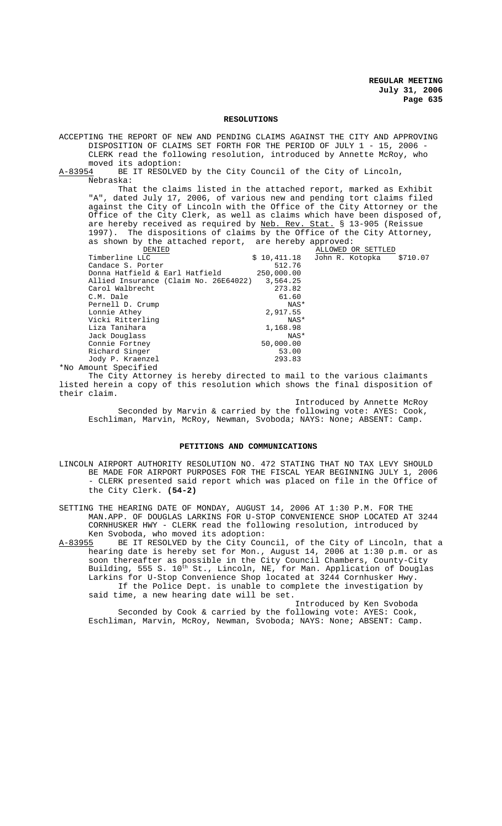#### **RESOLUTIONS**

ACCEPTING THE REPORT OF NEW AND PENDING CLAIMS AGAINST THE CITY AND APPROVING DISPOSITION OF CLAIMS SET FORTH FOR THE PERIOD OF JULY 1 - 15, 2006 - CLERK read the following resolution, introduced by Annette McRoy, who moved its adoption:<br>A-83954 BE IT RESOLVE BE IT RESOLVED by the City Council of the City of Lincoln, Nebraska: That the claims listed in the attached report, marked as Exhibit "A", dated July 17, 2006, of various new and pending tort claims filed against the City of Lincoln with the Office of the City Attorney or the Office of the City Clerk, as well as claims which have been disposed of, are hereby received as required by <u>Neb. Rev. Stat.</u> § 13-905 (Reissue 1997). The dispositions of claims by the Office of the City Attorney, as shown by the attached report, are hereby approved:<br>
<u>DENIED</u> ALLOWED O DENIED<br>
Timberline LLC<br>  $\frac{0.07}{0.411.18}$   $\frac{0.07}{0.411.18}$   $\frac{0.07}{0.411.18}$   $\frac{0.07}{0.071}$   $\frac{0.07}{0.071}$ Timberline John R. Kotopka 512.76<br>250,000.00 Candace S. Porter 512.76 Donna Hatfield & Earl Hatfield 250,000.00 Allied Insurance (Claim No. 26E64022)  $3,564.25$ <br>Carol Walbrecht 273.82 Carol Walbrecht 273.82<br>
C.M. Dale 61.60 C.M. Dale 61.60<br>Pernell D. Crump Pernell D. Crump NAS<br>
Lonnie Athev 2.917.55 Lonnie Athey 2,917.55 Vicki Ritterling NAS\* Liza Tanihara 1,168.98 Jack Douglass NAS\* Connie Fortney 50,000.00<br>Richard Singer 53.00 Richard Singer 53.00<br>10 P. Kraenzel 10 (293.83) Jody P. Kraenzel \*No Amount Specified

The City Attorney is hereby directed to mail to the various claimants listed herein a copy of this resolution which shows the final disposition of their claim.

Introduced by Annette McRoy Seconded by Marvin & carried by the following vote: AYES: Cook, Eschliman, Marvin, McRoy, Newman, Svoboda; NAYS: None; ABSENT: Camp.

#### **PETITIONS AND COMMUNICATIONS**

LINCOLN AIRPORT AUTHORITY RESOLUTION NO. 472 STATING THAT NO TAX LEVY SHOULD BE MADE FOR AIRPORT PURPOSES FOR THE FISCAL YEAR BEGINNING JULY 1, 2006 - CLERK presented said report which was placed on file in the Office of the City Clerk. **(54-2)**

SETTING THE HEARING DATE OF MONDAY, AUGUST 14, 2006 AT 1:30 P.M. FOR THE MAN.APP. OF DOUGLAS LARKINS FOR U-STOP CONVENIENCE SHOP LOCATED AT 3244 CORNHUSKER HWY - CLERK read the following resolution, introduced by Ken Svoboda, who moved its adoption:

A-83955 BE IT RESOLVED by the City Council, of the City of Lincoln, that a hearing date is hereby set for Mon., August 14, 2006 at 1:30 p.m. or as soon thereafter as possible in the City Council Chambers, County-City Building, 555 S. 10<sup>th</sup> St., Lincoln, NE, for Man. Application of Douglas Larkins for U-Stop Convenience Shop located at 3244 Cornhusker Hwy. If the Police Dept. is unable to complete the investigation by said time, a new hearing date will be set.

Introduced by Ken Svoboda Seconded by Cook & carried by the following vote: AYES: Cook, Eschliman, Marvin, McRoy, Newman, Svoboda; NAYS: None; ABSENT: Camp.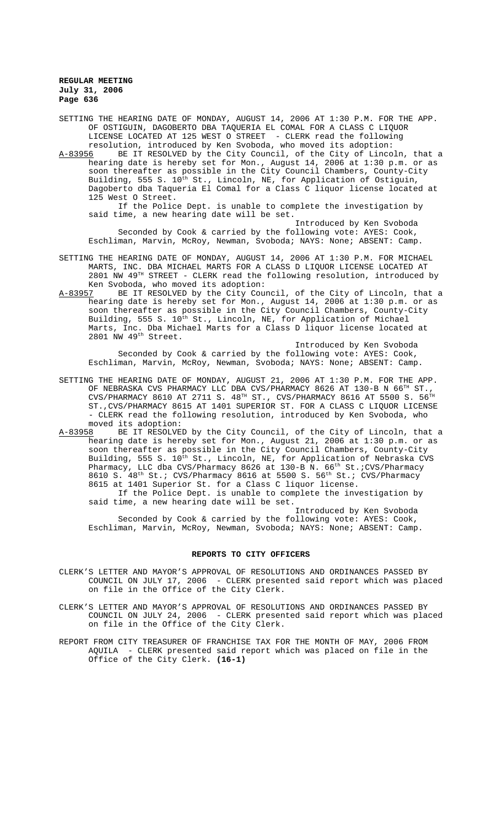SETTING THE HEARING DATE OF MONDAY, AUGUST 14, 2006 AT 1:30 P.M. FOR THE APP. OF OSTIGUIN, DAGOBERTO DBA TAQUERIA EL COMAL FOR A CLASS C LIQUOR LICENSE LOCATED AT 125 WEST O STREET - CLERK read the following

resolution, introduced by Ken Svoboda, who moved its adoption:<br>A-83956 BE IT RESOLVED by the City Council, of the City of Linco BE IT RESOLVED by the City Council, of the City of Lincoln, that a hearing date is hereby set for Mon., August 14, 2006 at 1:30 p.m. or as soon thereafter as possible in the City Council Chambers, County-City Building, 555 S. 10<sup>th</sup> St., Lincoln, NE, for Application of Ostiguin, Dagoberto dba Taqueria El Comal for a Class C liquor license located at 125 West O Street.

If the Police Dept. is unable to complete the investigation by said time, a new hearing date will be set.

Introduced by Ken Svoboda Seconded by Cook & carried by the following vote: AYES: Cook, Eschliman, Marvin, McRoy, Newman, Svoboda; NAYS: None; ABSENT: Camp.

- SETTING THE HEARING DATE OF MONDAY, AUGUST 14, 2006 AT 1:30 P.M. FOR MICHAEL MARTS, INC. DBA MICHAEL MARTS FOR A CLASS D LIQUOR LICENSE LOCATED AT 2801 NW 49TH STREET - CLERK read the following resolution, introduced by Ken Svoboda, who moved its adoption:
- A-83957 BE IT RESOLVED by the City Council, of the City of Lincoln, that a hearing date is hereby set for Mon., August 14, 2006 at 1:30 p.m. or as soon thereafter as possible in the City Council Chambers, County-City Building, 555 S. 10<sup>th</sup> St., Lincoln, NE, for Application of Michael Marts, Inc. Dba Michael Marts for a Class D liquor license located at 2801 NW 49th Street.

Introduced by Ken Svoboda Seconded by Cook & carried by the following vote: AYES: Cook, Eschliman, Marvin, McRoy, Newman, Svoboda; NAYS: None; ABSENT: Camp.

- SETTING THE HEARING DATE OF MONDAY, AUGUST 21, 2006 AT 1:30 P.M. FOR THE APP. OF NEBRASKA CVS PHARMACY LLC DBA CVS/PHARMACY 8626 AT 130-B N 66 $^{TH}$  ST.,  $\texttt{CVS}/\texttt{PHARMACY}$  8610 AT 2711 S.  $48^{\texttt{TH}}$  ST.,  $\texttt{CVS}/\texttt{PHARMACY}$  8616 AT 5500 S. 56 $^{\texttt{TH}}$ ST.,CVS/PHARMACY 8615 AT 1401 SUPERIOR ST. FOR A CLASS C LIQUOR LICENSE - CLERK read the following resolution, introduced by Ken Svoboda, who moved its adoption:<br>A-83958 BE IT RESOLVE
- BE IT RESOLVED by the City Council, of the City of Lincoln, that a hearing date is hereby set for Mon., August 21, 2006 at 1:30 p.m. or as soon thereafter as possible in the City Council Chambers, County-City Building, 555 S. 10<sup>th</sup> St., Lincoln, NE, for Application of Nebraska CVS Pharmacy, LLC dba CVS/Pharmacy 8626 at 130-B N. 66<sup>th</sup> St.;CVS/Pharmacy 8610 S. 48<sup>th</sup> St.; CVS/Pharmacy 8616 at 5500 S. 56<sup>th</sup> St.; CVS/Pharmacy 8615 at 1401 Superior St. for a Class C liquor license.

If the Police Dept. is unable to complete the investigation by said time, a new hearing date will be set.

Introduced by Ken Svoboda Seconded by Cook & carried by the following vote: AYES: Cook, Eschliman, Marvin, McRoy, Newman, Svoboda; NAYS: None; ABSENT: Camp.

#### **REPORTS TO CITY OFFICERS**

- CLERK'S LETTER AND MAYOR'S APPROVAL OF RESOLUTIONS AND ORDINANCES PASSED BY COUNCIL ON JULY 17, 2006 - CLERK presented said report which was placed on file in the Office of the City Clerk.
- CLERK'S LETTER AND MAYOR'S APPROVAL OF RESOLUTIONS AND ORDINANCES PASSED BY COUNCIL ON JULY 24, 2006 - CLERK presented said report which was placed on file in the Office of the City Clerk.
- REPORT FROM CITY TREASURER OF FRANCHISE TAX FOR THE MONTH OF MAY, 2006 FROM AQUILA - CLERK presented said report which was placed on file in the Office of the City Clerk. **(16-1)**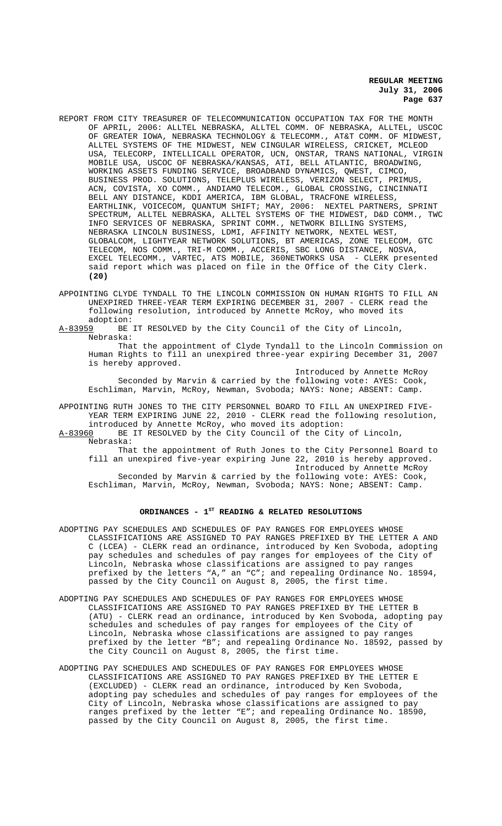- REPORT FROM CITY TREASURER OF TELECOMMUNICATION OCCUPATION TAX FOR THE MONTH OF APRIL, 2006: ALLTEL NEBRASKA, ALLTEL COMM. OF NEBRASKA, ALLTEL, USCOC OF GREATER IOWA, NEBRASKA TECHNOLOGY & TELECOMM., AT&T COMM. OF MIDWEST, ALLTEL SYSTEMS OF THE MIDWEST, NEW CINGULAR WIRELESS, CRICKET, MCLEOD USA, TELECORP, INTELLICALL OPERATOR, UCN, ONSTAR, TRANS NATIONAL, VIRGIN MOBILE USA, USCOC OF NEBRASKA/KANSAS, ATI, BELL ATLANTIC, BROADWING, WORKING ASSETS FUNDING SERVICE, BROADBAND DYNAMICS, QWEST, CIMCO, BUSINESS PROD. SOLUTIONS, TELEPLUS WIRELESS, VERIZON SELECT, PRIMUS, ACN, COVISTA, XO COMM., ANDIAMO TELECOM., GLOBAL CROSSING, CINCINNATI BELL ANY DISTANCE, KDDI AMERICA, IBM GLOBAL, TRACFONE WIRELESS, EARTHLINK, VOICECOM, QUANTUM SHIFT; MAY, 2006: NEXTEL PARTNERS, SPRINT SPECTRUM, ALLTEL NEBRASKA, ALLTEL SYSTEMS OF THE MIDWEST, D&D COMM., TWC INFO SERVICES OF NEBRASKA, SPRINT COMM., NETWORK BILLING SYSTEMS, NEBRASKA LINCOLN BUSINESS, LDMI, AFFINITY NETWORK, NEXTEL WEST, GLOBALCOM, LIGHTYEAR NETWORK SOLUTIONS, BT AMERICAS, ZONE TELECOM, GTC TELECOM, NOS COMM., TRI-M COMM., ACCERIS, SBC LONG DISTANCE, NOSVA, EXCEL TELECOMM., VARTEC, ATS MOBILE, 360NETWORKS USA - CLERK presented said report which was placed on file in the Office of the City Clerk. **(20)**
- APPOINTING CLYDE TYNDALL TO THE LINCOLN COMMISSION ON HUMAN RIGHTS TO FILL AN UNEXPIRED THREE-YEAR TERM EXPIRING DECEMBER 31, 2007 - CLERK read the following resolution, introduced by Annette McRoy, who moved its
- adoption:<br><u>A-83959</u> BE BE IT RESOLVED by the City Council of the City of Lincoln, Nebraska:

That the appointment of Clyde Tyndall to the Lincoln Commission on Human Rights to fill an unexpired three-year expiring December 31, 2007 is hereby approved.

Introduced by Annette McRoy Seconded by Marvin & carried by the following vote: AYES: Cook, Eschliman, Marvin, McRoy, Newman, Svoboda; NAYS: None; ABSENT: Camp.

APPOINTING RUTH JONES TO THE CITY PERSONNEL BOARD TO FILL AN UNEXPIRED FIVE-YEAR TERM EXPIRING JUNE 22, 2010 - CLERK read the following resolution, introduced by Annette McRoy, who moved its adoption:

A-83960 BE IT RESOLVED by the City Council of the City of Lincoln, Nebraska:

That the appointment of Ruth Jones to the City Personnel Board to fill an unexpired five-year expiring June 22, 2010 is hereby approved. Introduced by Annette McRoy

Seconded by Marvin & carried by the following vote: AYES: Cook, Eschliman, Marvin, McRoy, Newman, Svoboda; NAYS: None; ABSENT: Camp.

### ORDINANCES - 1<sup>st</sup> READING & RELATED RESOLUTIONS

- ADOPTING PAY SCHEDULES AND SCHEDULES OF PAY RANGES FOR EMPLOYEES WHOSE CLASSIFICATIONS ARE ASSIGNED TO PAY RANGES PREFIXED BY THE LETTER A AND C (LCEA) - CLERK read an ordinance, introduced by Ken Svoboda, adopting pay schedules and schedules of pay ranges for employees of the City of Lincoln, Nebraska whose classifications are assigned to pay ranges prefixed by the letters "A," an "C"; and repealing Ordinance No. 18594, passed by the City Council on August 8, 2005, the first time.
- ADOPTING PAY SCHEDULES AND SCHEDULES OF PAY RANGES FOR EMPLOYEES WHOSE CLASSIFICATIONS ARE ASSIGNED TO PAY RANGES PREFIXED BY THE LETTER B (ATU) - CLERK read an ordinance, introduced by Ken Svoboda, adopting pay schedules and schedules of pay ranges for employees of the City of Lincoln, Nebraska whose classifications are assigned to pay ranges prefixed by the letter "B"; and repealing Ordinance No. 18592, passed by the City Council on August 8, 2005, the first time.
- ADOPTING PAY SCHEDULES AND SCHEDULES OF PAY RANGES FOR EMPLOYEES WHOSE CLASSIFICATIONS ARE ASSIGNED TO PAY RANGES PREFIXED BY THE LETTER E (EXCLUDED) - CLERK read an ordinance, introduced by Ken Svoboda, adopting pay schedules and schedules of pay ranges for employees of the City of Lincoln, Nebraska whose classifications are assigned to pay ranges prefixed by the letter "E"; and repealing Ordinance No. 18590, passed by the City Council on August 8, 2005, the first time.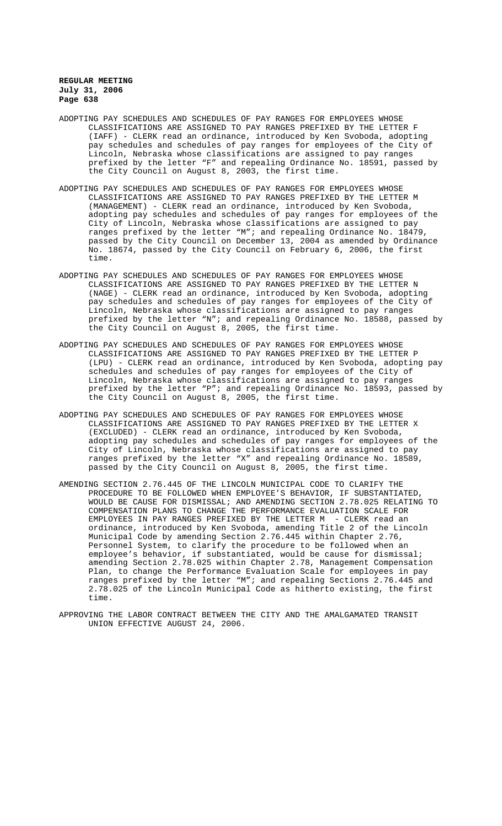- ADOPTING PAY SCHEDULES AND SCHEDULES OF PAY RANGES FOR EMPLOYEES WHOSE CLASSIFICATIONS ARE ASSIGNED TO PAY RANGES PREFIXED BY THE LETTER F (IAFF) - CLERK read an ordinance, introduced by Ken Svoboda, adopting pay schedules and schedules of pay ranges for employees of the City of Lincoln, Nebraska whose classifications are assigned to pay ranges prefixed by the letter "F" and repealing Ordinance No. 18591, passed by the City Council on August 8, 2003, the first time.
- ADOPTING PAY SCHEDULES AND SCHEDULES OF PAY RANGES FOR EMPLOYEES WHOSE CLASSIFICATIONS ARE ASSIGNED TO PAY RANGES PREFIXED BY THE LETTER M (MANAGEMENT) - CLERK read an ordinance, introduced by Ken Svoboda, adopting pay schedules and schedules of pay ranges for employees of the City of Lincoln, Nebraska whose classifications are assigned to pay ranges prefixed by the letter "M"; and repealing Ordinance No. 18479, passed by the City Council on December 13, 2004 as amended by Ordinance No. 18674, passed by the City Council on February 6, 2006, the first time.
- ADOPTING PAY SCHEDULES AND SCHEDULES OF PAY RANGES FOR EMPLOYEES WHOSE CLASSIFICATIONS ARE ASSIGNED TO PAY RANGES PREFIXED BY THE LETTER N (NAGE) - CLERK read an ordinance, introduced by Ken Svoboda, adopting pay schedules and schedules of pay ranges for employees of the City of Lincoln, Nebraska whose classifications are assigned to pay ranges prefixed by the letter "N"; and repealing Ordinance No. 18588, passed by the City Council on August 8, 2005, the first time.
- ADOPTING PAY SCHEDULES AND SCHEDULES OF PAY RANGES FOR EMPLOYEES WHOSE CLASSIFICATIONS ARE ASSIGNED TO PAY RANGES PREFIXED BY THE LETTER P (LPU) - CLERK read an ordinance, introduced by Ken Svoboda, adopting pay schedules and schedules of pay ranges for employees of the City of Lincoln, Nebraska whose classifications are assigned to pay ranges prefixed by the letter "P"; and repealing Ordinance No. 18593, passed by the City Council on August 8, 2005, the first time.
- ADOPTING PAY SCHEDULES AND SCHEDULES OF PAY RANGES FOR EMPLOYEES WHOSE CLASSIFICATIONS ARE ASSIGNED TO PAY RANGES PREFIXED BY THE LETTER X (EXCLUDED) - CLERK read an ordinance, introduced by Ken Svoboda, adopting pay schedules and schedules of pay ranges for employees of the City of Lincoln, Nebraska whose classifications are assigned to pay ranges prefixed by the letter "X" and repealing Ordinance No. 18589, passed by the City Council on August 8, 2005, the first time.
- AMENDING SECTION 2.76.445 OF THE LINCOLN MUNICIPAL CODE TO CLARIFY THE PROCEDURE TO BE FOLLOWED WHEN EMPLOYEE'S BEHAVIOR, IF SUBSTANTIATED, WOULD BE CAUSE FOR DISMISSAL; AND AMENDING SECTION 2.78.025 RELATING TO COMPENSATION PLANS TO CHANGE THE PERFORMANCE EVALUATION SCALE FOR EMPLOYEES IN PAY RANGES PREFIXED BY THE LETTER M - CLERK read an ordinance, introduced by Ken Svoboda, amending Title 2 of the Lincoln Municipal Code by amending Section 2.76.445 within Chapter 2.76, Personnel System, to clarify the procedure to be followed when an employee's behavior, if substantiated, would be cause for dismissal; amending Section 2.78.025 within Chapter 2.78, Management Compensation Plan, to change the Performance Evaluation Scale for employees in pay ranges prefixed by the letter "M"; and repealing Sections 2.76.445 and 2.78.025 of the Lincoln Municipal Code as hitherto existing, the first time.
- APPROVING THE LABOR CONTRACT BETWEEN THE CITY AND THE AMALGAMATED TRANSIT UNION EFFECTIVE AUGUST 24, 2006.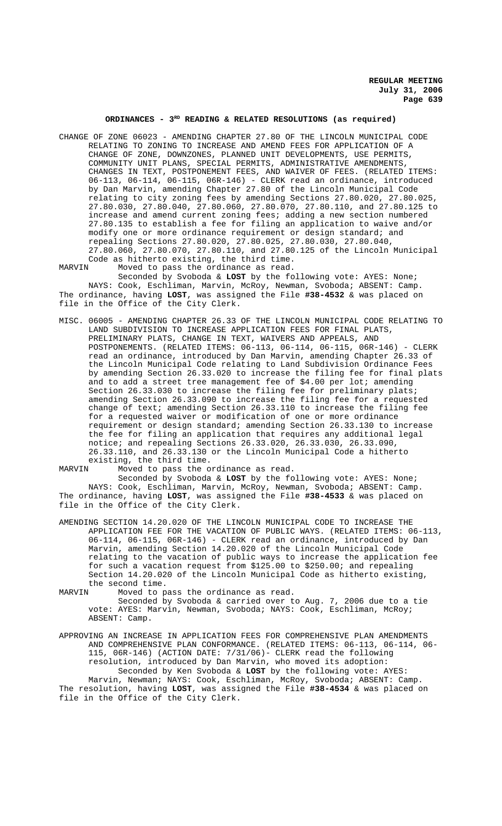# **ORDINANCES - 3RD READING & RELATED RESOLUTIONS (as required)**

CHANGE OF ZONE 06023 - AMENDING CHAPTER 27.80 OF THE LINCOLN MUNICIPAL CODE RELATING TO ZONING TO INCREASE AND AMEND FEES FOR APPLICATION OF A CHANGE OF ZONE, DOWNZONES, PLANNED UNIT DEVELOPMENTS, USE PERMITS, COMMUNITY UNIT PLANS, SPECIAL PERMITS, ADMINISTRATIVE AMENDMENTS, CHANGES IN TEXT, POSTPONEMENT FEES, AND WAIVER OF FEES. (RELATED ITEMS: 06-113, 06-114, 06-115, 06R-146) - CLERK read an ordinance, introduced by Dan Marvin, amending Chapter 27.80 of the Lincoln Municipal Code relating to city zoning fees by amending Sections 27.80.020, 27.80.025, 27.80.030, 27.80.040, 27.80.060, 27.80.070, 27.80.110, and 27.80.125 to increase and amend current zoning fees; adding a new section numbered 27.80.135 to establish a fee for filing an application to waive and/or modify one or more ordinance requirement or design standard; and repealing Sections 27.80.020, 27.80.025, 27.80.030, 27.80.040, 27.80.060, 27.80.070, 27.80.110, and 27.80.125 of the Lincoln Municipal Code as hitherto existing, the third time.<br>MARVIN Moved to pass the ordinance as read.

Moved to pass the ordinance as read. Seconded by Svoboda & **LOST** by the following vote: AYES: None; NAYS: Cook, Eschliman, Marvin, McRoy, Newman, Svoboda; ABSENT: Camp. The ordinance, having **LOST**, was assigned the File **#38-4532** & was placed on file in the Office of the City Clerk.

MISC. 06005 - AMENDING CHAPTER 26.33 OF THE LINCOLN MUNICIPAL CODE RELATING TO LAND SUBDIVISION TO INCREASE APPLICATION FEES FOR FINAL PLATS, PRELIMINARY PLATS, CHANGE IN TEXT, WAIVERS AND APPEALS, AND POSTPONEMENTS. (RELATED ITEMS: 06-113, 06-114, 06-115, 06R-146) - CLERK read an ordinance, introduced by Dan Marvin, amending Chapter 26.33 of the Lincoln Municipal Code relating to Land Subdivision Ordinance Fees by amending Section 26.33.020 to increase the filing fee for final plats and to add a street tree management fee of \$4.00 per lot; amending Section 26.33.030 to increase the filing fee for preliminary plats; amending Section 26.33.090 to increase the filing fee for a requested change of text; amending Section 26.33.110 to increase the filing fee for a requested waiver or modification of one or more ordinance requirement or design standard; amending Section 26.33.130 to increase the fee for filing an application that requires any additional legal notice; and repealing Sections 26.33.020, 26.33.030, 26.33.090, 26.33.110, and 26.33.130 or the Lincoln Municipal Code a hitherto existing, the third time.

MARVIN Moved to pass the ordinance as read.

Seconded by Svoboda & **LOST** by the following vote: AYES: None; NAYS: Cook, Eschliman, Marvin, McRoy, Newman, Svoboda; ABSENT: Camp. The ordinance, having **LOST**, was assigned the File **#38-4533** & was placed on file in the Office of the City Clerk.

AMENDING SECTION 14.20.020 OF THE LINCOLN MUNICIPAL CODE TO INCREASE THE APPLICATION FEE FOR THE VACATION OF PUBLIC WAYS. (RELATED ITEMS: 06-113, 06-114, 06-115, 06R-146) - CLERK read an ordinance, introduced by Dan Marvin, amending Section 14.20.020 of the Lincoln Municipal Code relating to the vacation of public ways to increase the application fee for such a vacation request from \$125.00 to \$250.00; and repealing Section 14.20.020 of the Lincoln Municipal Code as hitherto existing, the second time.<br>MARVIN Moved to p.

Moved to pass the ordinance as read. Seconded by Svoboda & carried over to Aug. 7, 2006 due to a tie vote: AYES: Marvin, Newman, Svoboda; NAYS: Cook, Eschliman, McRoy; ABSENT: Camp.

APPROVING AN INCREASE IN APPLICATION FEES FOR COMPREHENSIVE PLAN AMENDMENTS AND COMPREHENSIVE PLAN CONFORMANCE. (RELATED ITEMS: 06-113, 06-114, 06- 115, 06R-146) (ACTION DATE: 7/31/06)- CLERK read the following resolution, introduced by Dan Marvin, who moved its adoption: Seconded by Ken Svoboda & **LOST** by the following vote: AYES: Marvin, Newman; NAYS: Cook, Eschliman, McRoy, Svoboda; ABSENT: Camp. The resolution, having **LOST**, was assigned the File **#38-4534** & was placed on file in the Office of the City Clerk.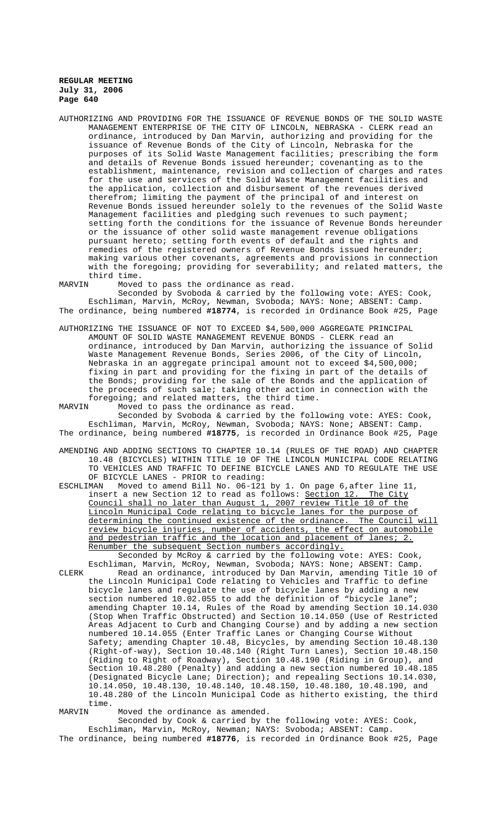AUTHORIZING AND PROVIDING FOR THE ISSUANCE OF REVENUE BONDS OF THE SOLID WASTE MANAGEMENT ENTERPRISE OF THE CITY OF LINCOLN, NEBRASKA - CLERK read an ordinance, introduced by Dan Marvin, authorizing and providing for the issuance of Revenue Bonds of the City of Lincoln, Nebraska for the purposes of its Solid Waste Management facilities; prescribing the form and details of Revenue Bonds issued hereunder; covenanting as to the establishment, maintenance, revision and collection of charges and rates for the use and services of the Solid Waste Management facilities and the application, collection and disbursement of the revenues derived therefrom; limiting the payment of the principal of and interest on Revenue Bonds issued hereunder solely to the revenues of the Solid Waste Management facilities and pledging such revenues to such payment; setting forth the conditions for the issuance of Revenue Bonds hereunder or the issuance of other solid waste management revenue obligations pursuant hereto; setting forth events of default and the rights and remedies of the registered owners of Revenue Bonds issued hereunder; making various other covenants, agreements and provisions in connection with the foregoing; providing for severability; and related matters, the third time.<br>MARVIN Moved

Moved to pass the ordinance as read.

Seconded by Svoboda & carried by the following vote: AYES: Cook, Eschliman, Marvin, McRoy, Newman, Svoboda; NAYS: None; ABSENT: Camp. The ordinance, being numbered **#18774**, is recorded in Ordinance Book #25, Page

- AUTHORIZING THE ISSUANCE OF NOT TO EXCEED \$4,500,000 AGGREGATE PRINCIPAL AMOUNT OF SOLID WASTE MANAGEMENT REVENUE BONDS - CLERK read an ordinance, introduced by Dan Marvin, authorizing the issuance of Solid Waste Management Revenue Bonds, Series 2006, of the City of Lincoln, Nebraska in an aggregate principal amount not to exceed \$4,500,000; fixing in part and providing for the fixing in part of the details of the Bonds; providing for the sale of the Bonds and the application of the proceeds of such sale; taking other action in connection with the foregoing; and related matters, the third time.<br>MARVIN Moved to pass the ordinance as read.
- Moved to pass the ordinance as read. Seconded by Svoboda & carried by the following vote: AYES: Cook, Eschliman, Marvin, McRoy, Newman, Svoboda; NAYS: None; ABSENT: Camp. The ordinance, being numbered **#18775**, is recorded in Ordinance Book #25, Page
- AMENDING AND ADDING SECTIONS TO CHAPTER 10.14 (RULES OF THE ROAD) AND CHAPTER 10.48 (BICYCLES) WITHIN TITLE 10 OF THE LINCOLN MUNICIPAL CODE RELATING TO VEHICLES AND TRAFFIC TO DEFINE BICYCLE LANES AND TO REGULATE THE USE OF BICYCLE LANES - PRIOR to reading:
- ESCHLIMAN Moved to amend Bill No. 06-121 by 1. On page 6, after line 11,<br>insert a new Section 12 to read as follows: <u>Section 12. The City</u> insert a new Section 12 to read as follows: Section 12. Council shall no later than August 1, 2007 review Title 10 of the Lincoln Municipal Code relating to bicycle lanes for the purpose of determining the continued existence of the ordinance. The Council will review bicycle injuries, number of accidents, the effect on automobile and pedestrian traffic and the location and placement of lanes; 2. Renumber the subsequent Section numbers accordingly. Seconded by McRoy & carried by the following vote: AYES: Cook,

Eschliman, Marvin, McRoy, Newman, Svoboda; NAYS: None; ABSENT: Camp. CLERK Read an ordinance, introduced by Dan Marvin, amending Title 10 of the Lincoln Municipal Code relating to Vehicles and Traffic to define bicycle lanes and regulate the use of bicycle lanes by adding a new section numbered 10.02.055 to add the definition of "bicycle lane"; amending Chapter 10.14, Rules of the Road by amending Section 10.14.030 (Stop When Traffic Obstructed) and Section 10.14.050 (Use of Restricted Areas Adjacent to Curb and Changing Course) and by adding a new section numbered 10.14.055 (Enter Traffic Lanes or Changing Course Without Safety; amending Chapter 10.48, Bicycles, by amending Section 10.48.130 (Right-of-way), Section 10.48.140 (Right Turn Lanes), Section 10.48.150 (Riding to Right of Roadway), Section 10.48.190 (Riding in Group), and Section 10.48.280 (Penalty) and adding a new section numbered 10.48.185 (Designated Bicycle Lane; Direction); and repealing Sections 10.14.030, 10.14.050, 10.48.130, 10.48.140, 10.48.150, 10.48.180, 10.48.190, and 10.48.280 of the Lincoln Municipal Code as hitherto existing, the third time.<br>MARVIN

Moved the ordinance as amended.

Seconded by Cook & carried by the following vote: AYES: Cook, Eschliman, Marvin, McRoy, Newman; NAYS: Svoboda; ABSENT: Camp. The ordinance, being numbered **#18776**, is recorded in Ordinance Book #25, Page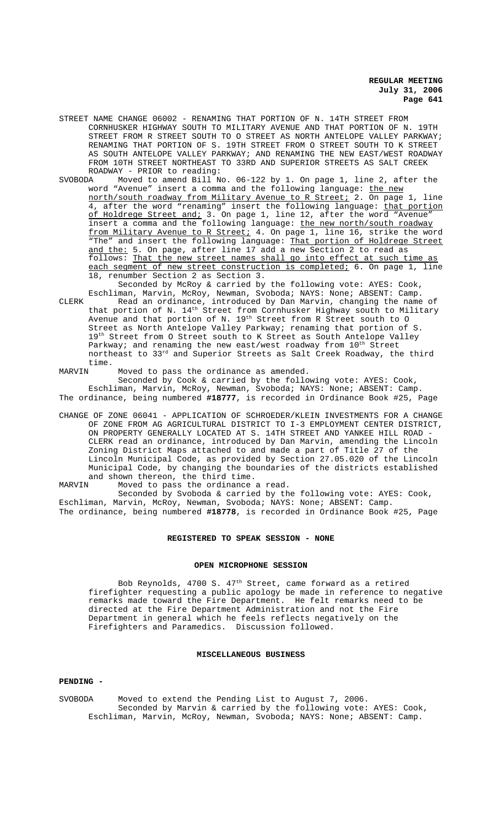- STREET NAME CHANGE 06002 RENAMING THAT PORTION OF N. 14TH STREET FROM CORNHUSKER HIGHWAY SOUTH TO MILITARY AVENUE AND THAT PORTION OF N. 19TH STREET FROM R STREET SOUTH TO O STREET AS NORTH ANTELOPE VALLEY PARKWAY; RENAMING THAT PORTION OF S. 19TH STREET FROM O STREET SOUTH TO K STREET AS SOUTH ANTELOPE VALLEY PARKWAY; AND RENAMING THE NEW EAST/WEST ROADWAY FROM 10TH STREET NORTHEAST TO 33RD AND SUPERIOR STREETS AS SALT CREEK ROADWAY - PRIOR to reading:<br>SVOBODA Moved to amend Bill N
- Moved to amend Bill No. 06-122 by 1. On page 1, line 2, after the word "Avenue" insert a comma and the following language: the new north/south roadway from Military Avenue to R Street; 2. On page 1, line 4, after the word "renaming" insert the following language: that portion of Holdrege Street and; 3. On page 1, line 12, after the word "Avenue insert a comma and the following language: the new north/south roadway from Military Avenue to R Street; 4. On page 1, line 16, strike the word "The" and insert the following language: That portion of Holdrege Street and the: 5. On page, after line 17 add a new Section 2 to read as follows: That the new street names shall go into effect at such time as each segment of new street construction is completed; 6. On page 1, line 18, renumber Section 2 as Section 3. Seconded by McRoy & carried by the following vote: AYES: Cook,

Eschliman, Marvin, McRoy, Newman, Svoboda; NAYS: None; ABSENT: Camp. CLERK Read an ordinance, introduced by Dan Marvin, changing the name of that portion of N. 14<sup>th</sup> Street from Cornhusker Highway south to Military

Avenue and that portion of N. 19<sup>th</sup> Street from R Street south to O Street as North Antelope Valley Parkway; renaming that portion of S. 19<sup>th</sup> Street from O Street south to K Street as South Antelope Valley Parkway; and renaming the new east/west roadway from  $10^{\text{th}}$  Street northeast to 33rd and Superior Streets as Salt Creek Roadway, the third time.

MARVIN Moved to pass the ordinance as amended.

Seconded by Cook & carried by the following vote: AYES: Cook, Eschliman, Marvin, McRoy, Newman, Svoboda; NAYS: None; ABSENT: Camp. The ordinance, being numbered **#18777**, is recorded in Ordinance Book #25, Page

CHANGE OF ZONE 06041 - APPLICATION OF SCHROEDER/KLEIN INVESTMENTS FOR A CHANGE OF ZONE FROM AG AGRICULTURAL DISTRICT TO I-3 EMPLOYMENT CENTER DISTRICT, ON PROPERTY GENERALLY LOCATED AT S. 14TH STREET AND YANKEE HILL ROAD - CLERK read an ordinance, introduced by Dan Marvin, amending the Lincoln Zoning District Maps attached to and made a part of Title 27 of the Lincoln Municipal Code, as provided by Section 27.05.020 of the Lincoln Municipal Code, by changing the boundaries of the districts established and shown thereon, the third time.<br>MARVIN Moved to pass the ordinance

Moved to pass the ordinance a read. Seconded by Svoboda & carried by the following vote: AYES: Cook, Eschliman, Marvin, McRoy, Newman, Svoboda; NAYS: None; ABSENT: Camp. The ordinance, being numbered **#18778**, is recorded in Ordinance Book #25, Page

#### **REGISTERED TO SPEAK SESSION - NONE**

### **OPEN MICROPHONE SESSION**

Bob Reynolds, 4700 S. 47<sup>th</sup> Street, came forward as a retired firefighter requesting a public apology be made in reference to negative remarks made toward the Fire Department. He felt remarks need to be directed at the Fire Department Administration and not the Fire Department in general which he feels reflects negatively on the<br>Firefighters and Paramedics. Discussion followed. Firefighters and Paramedics.

### **MISCELLANEOUS BUSINESS**

#### **PENDING -**

SVOBODA Moved to extend the Pending List to August 7, 2006. Seconded by Marvin & carried by the following vote: AYES: Cook, Eschliman, Marvin, McRoy, Newman, Svoboda; NAYS: None; ABSENT: Camp.